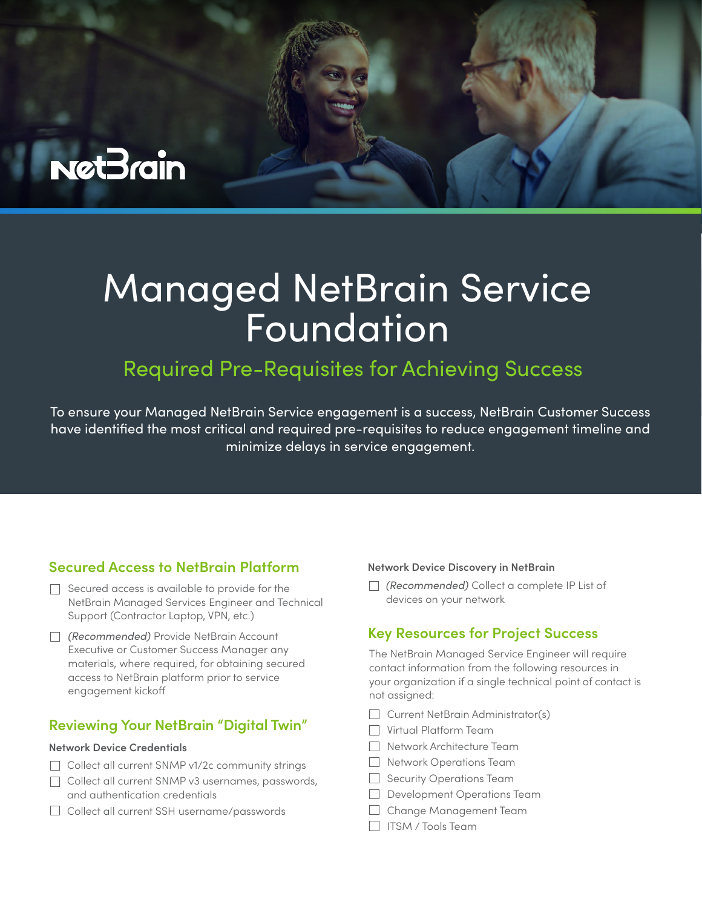

# Managed NetBrain Service Foundation

# Required Pre-Requisites for Achieving Success

To ensure your Managed NetBrain Service engagement is a success, NetBrain Customer Success have identified the most critical and required pre-requisites to reduce engagement timeline and minimize delays in service engagement.

## **Secured Access to NetBrain Platform**

- $\Box$  Secured access is available to provide for the NetBrain Managed Services Engineer and Technical Support (Contractor Laptop, VPN, etc.)
- *(Recommended)* Provide NetBrain Account Executive or Customer Success Manager any materials, where required, for obtaining secured access to NetBrain platform prior to service engagement kicko

#### **Reviewing Your NetBrain "Digital Twin"**

#### **Network Device Credentials**

- Collect all current SNMP v1/2c community strings
- Collect all current SNMP v3 usernames, passwords, and authentication credentials
- □ Collect all current SSH username/passwords

#### **Network Device Discovery in NetBrain**

*(Recommended)* Collect a complete IP List of devices on your network

#### **Key Resources for Project Success**

The NetBrain Managed Service Engineer will require contact information from the following resources in your organization if a single technical point of contact is not assigned:

- Current NetBrain Administrator(s)
- Virtual Platform Team
- Network Architecture Team
- Network Operations Team
- $\Box$  Security Operations Team
- Development Operations Team
- Change Management Team
- **ITSM** / Tools Team